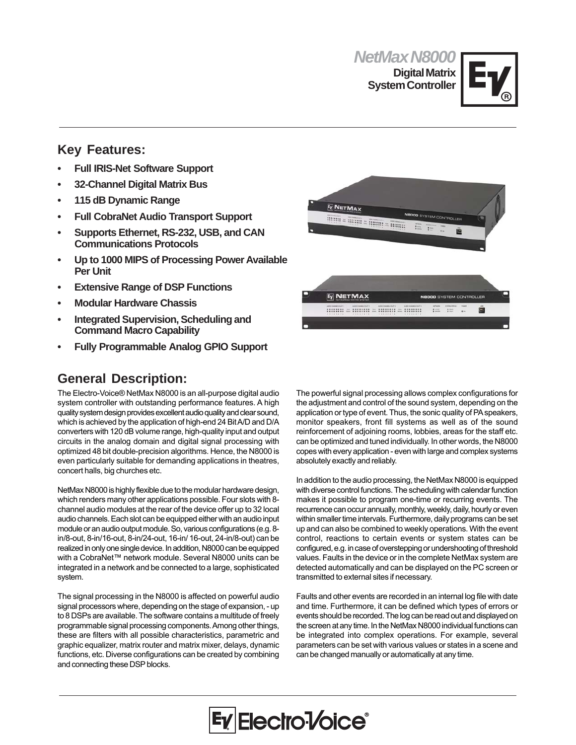*NetMax N8000* **Digital Matrix System Controller**



## **Key Features:**

- **Full IRIS-Net Software Support**
- **32-Channel Digital Matrix Bus**
- **115 dB Dynamic Range**
- **Full CobraNet Audio Transport Support**
- **Supports Ethernet, RS-232, USB, and CAN Communications Protocols**
- **Up to 1000 MIPS of Processing Power Available Per Unit**
- **Extensive Range of DSP Functions**
- **Modular Hardware Chassis**
- **Integrated Supervision, Scheduling and Command Macro Capability**
- **Fully Programmable Analog GPIO Support**

## **General Description:**

The Electro-Voice® NetMax N8000 is an all-purpose digital audio system controller with outstanding performance features. A high quality system design provides excellent audio quality and clear sound, which is achieved by the application of high-end 24 Bit A/D and D/A converters with 120 dB volume range, high-quality input and output circuits in the analog domain and digital signal processing with optimized 48 bit double-precision algorithms. Hence, the N8000 is even particularly suitable for demanding applications in theatres, concert halls, big churches etc.

NetMax N8000 is highly flexible due to the modular hardware design, which renders many other applications possible. Four slots with 8 channel audio modules at the rear of the device offer up to 32 local audio channels. Each slot can be equipped either with an audio input module or an audio output module. So, various configurations (e.g. 8 in/8-out, 8-in/16-out, 8-in/24-out, 16-in/ 16-out, 24-in/8-out) can be realized in only one single device. In addition, N8000 can be equipped with a CobraNet™ network module. Several N8000 units can be integrated in a network and be connected to a large, sophisticated system.

The signal processing in the N8000 is affected on powerful audio signal processors where, depending on the stage of expansion, - up to 8 DSPs are available. The software contains a multitude of freely programmable signal processing components. Among other things, these are filters with all possible characteristics, parametric and graphic equalizer, matrix router and matrix mixer, delays, dynamic functions, etc. Diverse configurations can be created by combining and connecting these DSP blocks.



The powerful signal processing allows complex configurations for the adjustment and control of the sound system, depending on the application or type of event. Thus, the sonic quality of PA speakers, monitor speakers, front fill systems as well as of the sound reinforcement of adjoining rooms, lobbies, areas for the staff etc. can be optimized and tuned individually. In other words, the N8000 copes with every application - even with large and complex systems absolutely exactly and reliably.

In addition to the audio processing, the NetMax N8000 is equipped with diverse control functions. The scheduling with calendar function makes it possible to program one-time or recurring events. The recurrence can occur annually, monthly, weekly, daily, hourly or even within smaller time intervals. Furthermore, daily programs can be set up and can also be combined to weekly operations. With the event control, reactions to certain events or system states can be configured, e.g. in case of overstepping or undershooting of threshold values. Faults in the device or in the complete NetMax system are detected automatically and can be displayed on the PC screen or transmitted to external sites if necessary.

Faults and other events are recorded in an internal log file with date and time. Furthermore, it can be defined which types of errors or events should be recorded. The log can be read out and displayed on the screen at any time. In the NetMax N8000 individual functions can be integrated into complex operations. For example, several parameters can be set with various values or states in a scene and can be changed manually or automatically at any time.

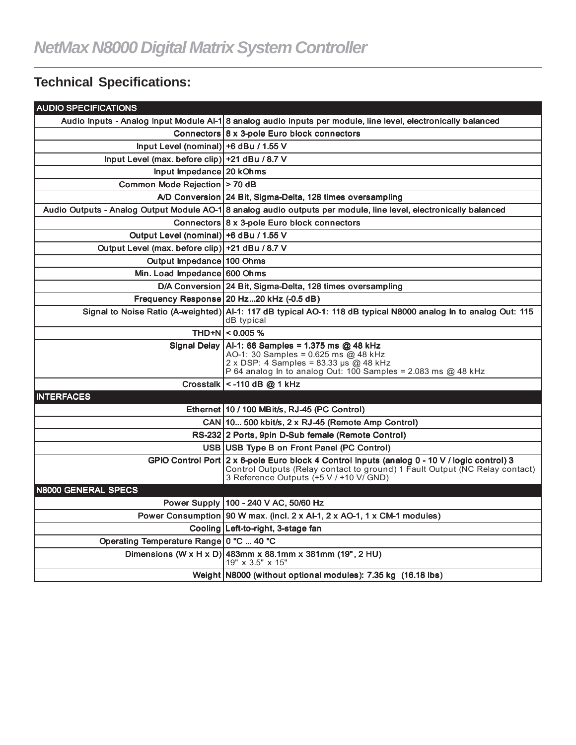# **Technical Specifications:**

| <b>AUDIO SPECIFICATIONS</b>                     |                                                                                                                                                                                                                        |
|-------------------------------------------------|------------------------------------------------------------------------------------------------------------------------------------------------------------------------------------------------------------------------|
|                                                 | Audio Inputs - Analog Input Module Al-1 8 analog audio inputs per module, line level, electronically balanced                                                                                                          |
|                                                 | Connectors 8 x 3-pole Euro block connectors                                                                                                                                                                            |
| Input Level (nominal) $+6$ dBu / 1.55 V         |                                                                                                                                                                                                                        |
| Input Level (max. before clip) +21 dBu / 8.7 V  |                                                                                                                                                                                                                        |
| Input Impedance 20 kOhms                        |                                                                                                                                                                                                                        |
| Common Mode Rejection   > 70 dB                 |                                                                                                                                                                                                                        |
|                                                 | A/D Conversion 24 Bit, Sigma-Delta, 128 times oversampling                                                                                                                                                             |
|                                                 | Audio Outputs - Analog Output Module AO-1 8 analog audio outputs per module, line level, electronically balanced                                                                                                       |
|                                                 | Connectors 8 x 3-pole Euro block connectors                                                                                                                                                                            |
| Output Level (nominal) +6 dBu / 1.55 V          |                                                                                                                                                                                                                        |
| Output Level (max. before clip) +21 dBu / 8.7 V |                                                                                                                                                                                                                        |
| Output Impedance 100 Ohms                       |                                                                                                                                                                                                                        |
| Min. Load Impedance 600 Ohms                    |                                                                                                                                                                                                                        |
|                                                 | D/A Conversion 24 Bit, Sigma-Delta, 128 times oversampling                                                                                                                                                             |
|                                                 | Frequency Response 20 Hz20 kHz (-0.5 dB)                                                                                                                                                                               |
|                                                 | Signal to Noise Ratio (A-weighted) Al-1: 117 dB typical AO-1: 118 dB typical N8000 analog In to analog Out: 115<br>dB typical                                                                                          |
|                                                 | THD+N $ $ < 0.005 %                                                                                                                                                                                                    |
|                                                 | Signal Delay   Al-1: 66 Samples = 1.375 ms @ 48 kHz<br>AO-1: 30 Samples = 0.625 ms @ 48 kHz<br>$2 \times$ DSP: 4 Samples = 83.33 µs @ 48 kHz<br>P 64 analog In to analog Out: $100$ Samples = 2.083 ms @ 48 kHz        |
|                                                 | Crosstalk $\vert$ < -110 dB $\omega$ 1 kHz                                                                                                                                                                             |
| <b>INTERFACES</b>                               |                                                                                                                                                                                                                        |
|                                                 | Ethernet 10 / 100 MBit/s, RJ-45 (PC Control)                                                                                                                                                                           |
|                                                 | CAN 10 500 kbit/s, 2 x RJ-45 (Remote Amp Control)                                                                                                                                                                      |
|                                                 | RS-232 2 Ports, 9pin D-Sub female (Remote Control)                                                                                                                                                                     |
|                                                 | USB   USB Type B on Front Panel (PC Control)                                                                                                                                                                           |
|                                                 | GPIO Control Port 2 x 6-pole Euro block 4 Control Inputs (analog 0 - 10 V / logic control) 3<br>Control Outputs (Relay contact to ground) 1 Fault Output (NC Relay contact)<br>3 Reference Outputs (+5 V / +10 V/ GND) |
| <b>N8000 GENERAL SPECS</b>                      |                                                                                                                                                                                                                        |
|                                                 | Power Supply   100 - 240 V AC, 50/60 Hz                                                                                                                                                                                |
|                                                 | Power Consumption   90 W max. (incl. 2 x Al-1, 2 x AO-1, 1 x CM-1 modules)                                                                                                                                             |
|                                                 | Cooling Left-to-right, 3-stage fan                                                                                                                                                                                     |
| Operating Temperature Range 0 °C  40 °C         |                                                                                                                                                                                                                        |
|                                                 | Dimensions (W x H x D) 483mm x 88.1mm x 381mm (19", 2 HU)<br>19" x 3.5" x 15"                                                                                                                                          |
|                                                 | Weight N8000 (without optional modules): 7.35 kg (16.18 lbs)                                                                                                                                                           |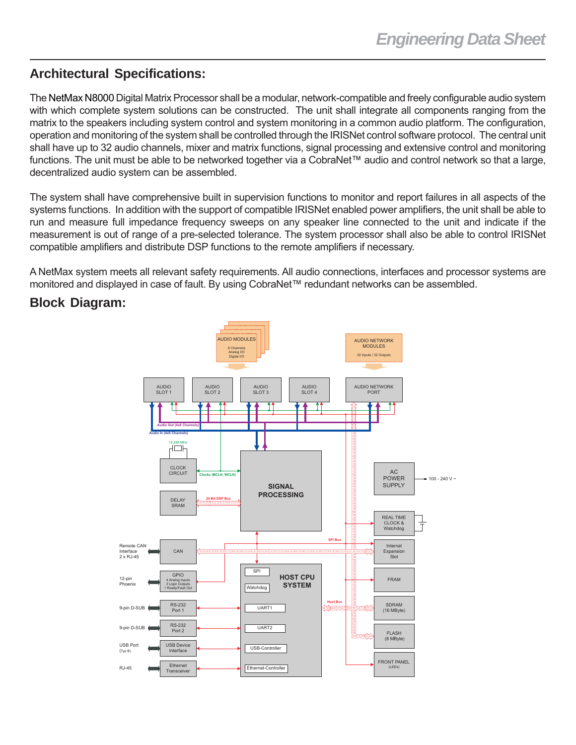## **Architectural Specifications:**

The NetMax N8000 Digital Matrix Processor shall be a modular, network-compatible and freely configurable audio system with which complete system solutions can be constructed. The unit shall integrate all components ranging from the matrix to the speakers including system control and system monitoring in a common audio platform. The configuration, operation and monitoring of the system shall be controlled through the IRISNet control software protocol. The central unit shall have up to 32 audio channels, mixer and matrix functions, signal processing and extensive control and monitoring functions. The unit must be able to be networked together via a CobraNet™ audio and control network so that a large, decentralized audio system can be assembled.

The system shall have comprehensive built in supervision functions to monitor and report failures in all aspects of the systems functions. In addition with the support of compatible IRISNet enabled power amplifiers, the unit shall be able to run and measure full impedance frequency sweeps on any speaker line connected to the unit and indicate if the measurement is out of range of a pre-selected tolerance. The system processor shall also be able to control IRISNet compatible amplifiers and distribute DSP functions to the remote amplifiers if necessary.

A NetMax system meets all relevant safety requirements. All audio connections, interfaces and processor systems are monitored and displayed in case of fault. By using CobraNet™ redundant networks can be assembled.

#### **Block Diagram:**